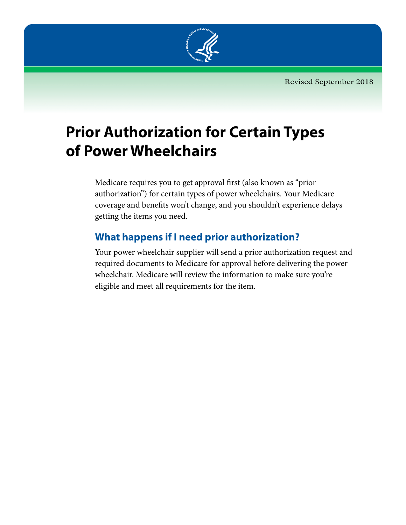

# **Prior Authorization for Certain Types of Power Wheelchairs**

Medicare requires you to get approval first (also known as "prior authorization") for certain types of power wheelchairs. Your Medicare coverage and benefits won't change, and you shouldn't experience delays getting the items you need.

# **What happens if I need prior authorization?**

Your power wheelchair supplier will send a prior authorization request and required documents to Medicare for approval before delivering the power wheelchair. Medicare will review the information to make sure you're eligible and meet all requirements for the item.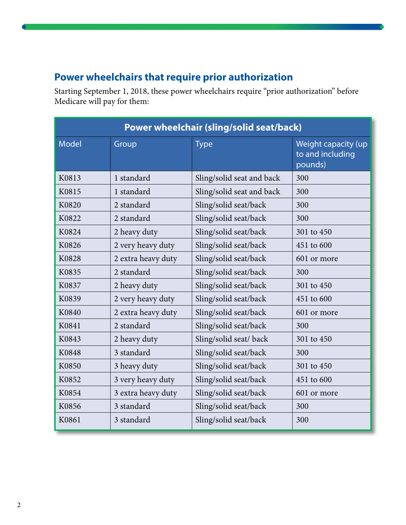## **Power wheelchairs that require prior authorization**

Starting September 1, 2018, these power wheelchairs require "prior authorization" before Medicare will pay for them:

| Power wheelchair (sling/solid seat/back) |                    |                           |                                                    |  |
|------------------------------------------|--------------------|---------------------------|----------------------------------------------------|--|
| <b>Model</b>                             | Group              | <b>Type</b>               | Weight capacity (up<br>to and including<br>pounds) |  |
| K0813                                    | 1 standard         | Sling/solid seat and back | 300                                                |  |
| K0815                                    | 1 standard         | Sling/solid seat and back | 300                                                |  |
| K0820                                    | 2 standard         | Sling/solid seat/back     | 300                                                |  |
| K0822                                    | 2 standard         | Sling/solid seat/back     | 300                                                |  |
| K0824                                    | 2 heavy duty       | Sling/solid seat/back     | 301 to 450                                         |  |
| K0826                                    | 2 very heavy duty  | Sling/solid seat/back     | 451 to 600                                         |  |
| K0828                                    | 2 extra heavy duty | Sling/solid seat/back     | 601 or more                                        |  |
| K0835                                    | 2 standard         | Sling/solid seat/back     | 300                                                |  |
| K0837                                    | 2 heavy duty       | Sling/solid seat/back     | 301 to 450                                         |  |
| K0839                                    | 2 very heavy duty  | Sling/solid seat/back     | 451 to 600                                         |  |
| K0840                                    | 2 extra heavy duty | Sling/solid seat/back     | 601 or more                                        |  |
| K0841                                    | 2 standard         | Sling/solid seat/back     | 300                                                |  |
| K0843                                    | 2 heavy duty       | Sling/solid seat/ back    | 301 to 450                                         |  |
| K0848                                    | 3 standard         | Sling/solid seat/back     | 300                                                |  |
| K0850                                    | 3 heavy duty       | Sling/solid seat/back     | 301 to 450                                         |  |
| K0852                                    | 3 very heavy duty  | Sling/solid seat/back     | 451 to 600                                         |  |
| K0854                                    | 3 extra heavy duty | Sling/solid seat/back     | 601 or more                                        |  |
| K0856                                    | 3 standard         | Sling/solid seat/back     | 300                                                |  |
| K0861                                    | 3 standard         | Sling/solid seat/back     | 300                                                |  |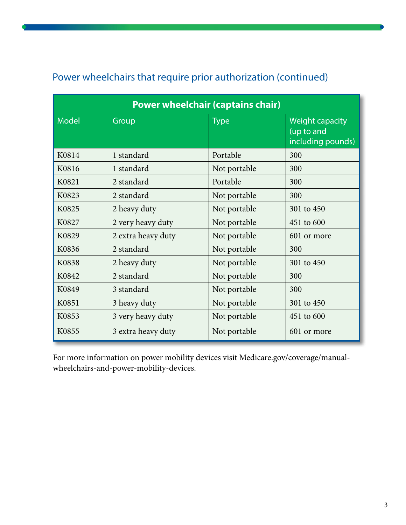| <b>Power wheelchair (captains chair)</b> |                    |              |                                                           |  |
|------------------------------------------|--------------------|--------------|-----------------------------------------------------------|--|
| <b>Model</b>                             | Group              | <b>Type</b>  | <b>Weight capacity</b><br>(up to and<br>including pounds) |  |
| K0814                                    | 1 standard         | Portable     | 300                                                       |  |
| K0816                                    | 1 standard         | Not portable | 300                                                       |  |
| K0821                                    | 2 standard         | Portable     | 300                                                       |  |
| K0823                                    | 2 standard         | Not portable | 300                                                       |  |
| K0825                                    | 2 heavy duty       | Not portable | 301 to 450                                                |  |
| K0827                                    | 2 very heavy duty  | Not portable | 451 to 600                                                |  |
| K0829                                    | 2 extra heavy duty | Not portable | 601 or more                                               |  |
| K0836                                    | 2 standard         | Not portable | 300                                                       |  |
| K0838                                    | 2 heavy duty       | Not portable | 301 to 450                                                |  |
| K0842                                    | 2 standard         | Not portable | 300                                                       |  |
| K0849                                    | 3 standard         | Not portable | 300                                                       |  |
| K0851                                    | 3 heavy duty       | Not portable | 301 to 450                                                |  |
| K0853                                    | 3 very heavy duty  | Not portable | 451 to 600                                                |  |
| K0855                                    | 3 extra heavy duty | Not portable | 601 or more                                               |  |

## Power wheelchairs that require prior authorization (continued)

For more information on power mobility devices visit [Medicare.gov/coverage/manual](https://www.medicare.gov/coverage/manual-wheelchairs-and-power-mobility-devices.html)[wheelchairs-and-power-mobility-devices.](https://www.medicare.gov/coverage/manual-wheelchairs-and-power-mobility-devices.html)